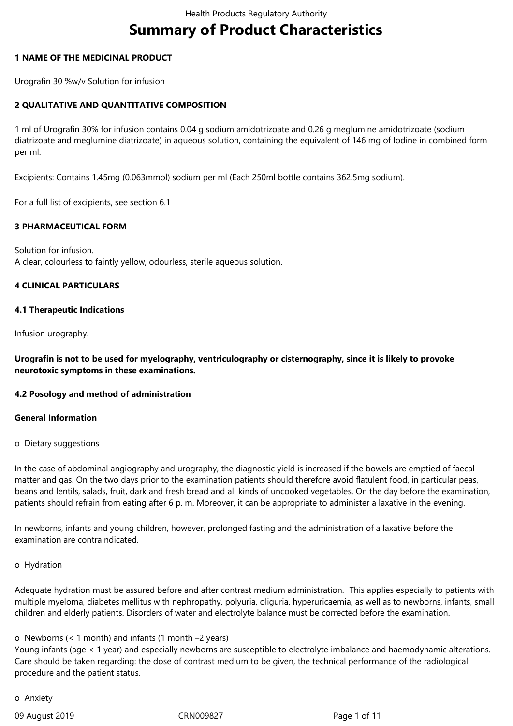# **Summary of Product Characteristics**

## **1 NAME OF THE MEDICINAL PRODUCT**

Urografin 30 %w/v Solution for infusion

## **2 QUALITATIVE AND QUANTITATIVE COMPOSITION**

1 ml of Urografin 30% for infusion contains 0.04 g sodium amidotrizoate and 0.26 g meglumine amidotrizoate (sodium diatrizoate and meglumine diatrizoate) in aqueous solution, containing the equivalent of 146 mg of Iodine in combined form per ml.

Excipients: Contains 1.45mg (0.063mmol) sodium per ml (Each 250ml bottle contains 362.5mg sodium).

For a full list of excipients, see section 6.1

## **3 PHARMACEUTICAL FORM**

Solution for infusion. A clear, colourless to faintly yellow, odourless, sterile aqueous solution.

#### **4 CLINICAL PARTICULARS**

#### **4.1 Therapeutic Indications**

Infusion urography.

**Urografin is not to be used for myelography, ventriculography or cisternography, since it is likely to provoke neurotoxic symptoms in these examinations.**

#### **4.2 Posology and method of administration**

#### **General Information**

o Dietary suggestions

In the case of abdominal angiography and urography, the diagnostic yield is increased if the bowels are emptied of faecal matter and gas. On the two days prior to the examination patients should therefore avoid flatulent food, in particular peas, beans and lentils, salads, fruit, dark and fresh bread and all kinds of uncooked vegetables. On the day before the examination, patients should refrain from eating after 6 p. m. Moreover, it can be appropriate to administer a laxative in the evening.

In newborns, infants and young children, however, prolonged fasting and the administration of a laxative before the examination are contraindicated.

#### o Hydration

Adequate hydration must be assured before and after contrast medium administration. This applies especially to patients with multiple myeloma, diabetes mellitus with nephropathy, polyuria, oliguria, hyperuricaemia, as well as to newborns, infants, small children and elderly patients. Disorders of water and electrolyte balance must be corrected before the examination.

#### o Newborns (< 1 month) and infants (1 month –2 years)

Young infants (age < 1 year) and especially newborns are susceptible to electrolyte imbalance and haemodynamic alterations. Care should be taken regarding: the dose of contrast medium to be given, the technical performance of the radiological procedure and the patient status.

o Anxiety

09 August 2019 **CRN009827** CRN009827 **Page 1 of 11**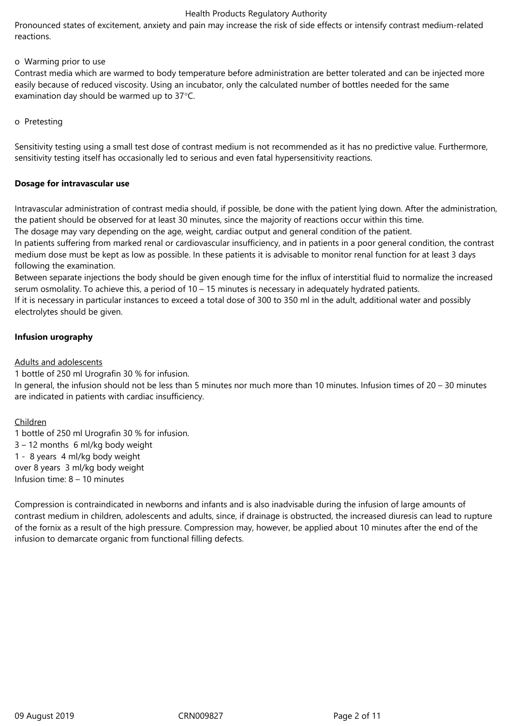Pronounced states of excitement, anxiety and pain may increase the risk of side effects or intensify contrast medium-related reactions.

## o Warming prior to use

Contrast media which are warmed to body temperature before administration are better tolerated and can be injected more easily because of reduced viscosity. Using an incubator, only the calculated number of bottles needed for the same examination day should be warmed up to 37°C.

#### o Pretesting

Sensitivity testing using a small test dose of contrast medium is not recommended as it has no predictive value. Furthermore, sensitivity testing itself has occasionally led to serious and even fatal hypersensitivity reactions.

## **Dosage for intravascular use**

Intravascular administration of contrast media should, if possible, be done with the patient lying down. After the administration, the patient should be observed for at least 30 minutes, since the majority of reactions occur within this time.

The dosage may vary depending on the age, weight, cardiac output and general condition of the patient.

In patients suffering from marked renal or cardiovascular insufficiency, and in patients in a poor general condition, the contrast medium dose must be kept as low as possible. In these patients it is advisable to monitor renal function for at least 3 days following the examination.

Between separate injections the body should be given enough time for the influx of interstitial fluid to normalize the increased serum osmolality. To achieve this, a period of 10 – 15 minutes is necessary in adequately hydrated patients.

If it is necessary in particular instances to exceed a total dose of 300 to 350 ml in the adult, additional water and possibly electrolytes should be given.

# **Infusion urography**

Adults and adolescents

1 bottle of 250 ml Urografin 30 % for infusion.

In general, the infusion should not be less than 5 minutes nor much more than 10 minutes. Infusion times of 20 – 30 minutes are indicated in patients with cardiac insufficiency.

# Children

1 bottle of 250 ml Urografin 30 % for infusion. 3 – 12 months 6 ml/kg body weight 1 - 8 years 4 ml/kg body weight over 8 years 3 ml/kg body weight Infusion time: 8 – 10 minutes

Compression is contraindicated in newborns and infants and is also inadvisable during the infusion of large amounts of contrast medium in children, adolescents and adults, since, if drainage is obstructed, the increased diuresis can lead to rupture of the fornix as a result of the high pressure. Compression may, however, be applied about 10 minutes after the end of the infusion to demarcate organic from functional filling defects.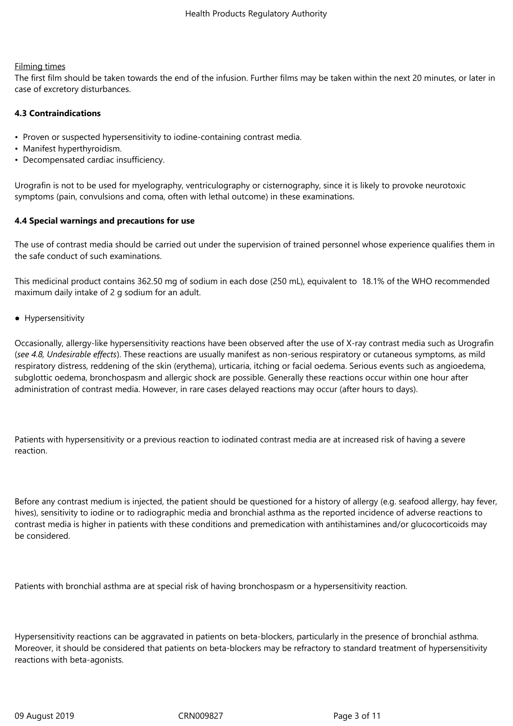#### Filming times

The first film should be taken towards the end of the infusion. Further films may be taken within the next 20 minutes, or later in case of excretory disturbances.

#### **4.3 Contraindications**

- Proven or suspected hypersensitivity to iodine-containing contrast media.
- Manifest hyperthyroidism.
- Decompensated cardiac insufficiency.

Urografin is not to be used for myelography, ventriculography or cisternography, since it is likely to provoke neurotoxic symptoms (pain, convulsions and coma, often with lethal outcome) in these examinations.

## **4.4 Special warnings and precautions for use**

The use of contrast media should be carried out under the supervision of trained personnel whose experience qualifies them in the safe conduct of such examinations.

This medicinal product contains 362.50 mg of sodium in each dose (250 mL), equivalent to 18.1% of the WHO recommended maximum daily intake of 2 g sodium for an adult.

● Hypersensitivity

Occasionally, allergy-like hypersensitivity reactions have been observed after the use of X-ray contrast media such as Urografin (*see 4.8, Undesirable effects*). These reactions are usually manifest as non-serious respiratory or cutaneous symptoms, as mild respiratory distress, reddening of the skin (erythema), urticaria, itching or facial oedema. Serious events such as angioedema, subglottic oedema, bronchospasm and allergic shock are possible. Generally these reactions occur within one hour after administration of contrast media. However, in rare cases delayed reactions may occur (after hours to days).

Patients with hypersensitivity or a previous reaction to iodinated contrast media are at increased risk of having a severe reaction.

Before any contrast medium is injected, the patient should be questioned for a history of allergy (e.g. seafood allergy, hay fever, hives), sensitivity to iodine or to radiographic media and bronchial asthma as the reported incidence of adverse reactions to contrast media is higher in patients with these conditions and premedication with antihistamines and/or glucocorticoids may be considered.

Patients with bronchial asthma are at special risk of having bronchospasm or a hypersensitivity reaction.

Hypersensitivity reactions can be aggravated in patients on beta-blockers, particularly in the presence of bronchial asthma. Moreover, it should be considered that patients on beta-blockers may be refractory to standard treatment of hypersensitivity reactions with beta-agonists.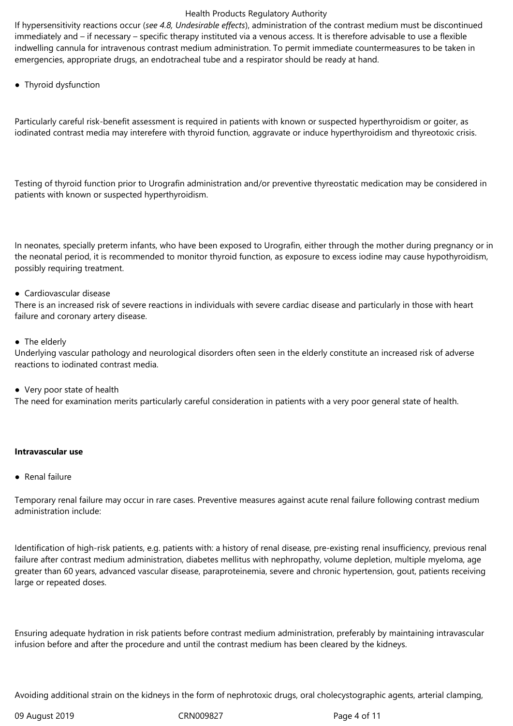If hypersensitivity reactions occur (*see 4.8, Undesirable effects*), administration of the contrast medium must be discontinued immediately and – if necessary – specific therapy instituted via a venous access. It is therefore advisable to use a flexible indwelling cannula for intravenous contrast medium administration. To permit immediate countermeasures to be taken in emergencies, appropriate drugs, an endotracheal tube and a respirator should be ready at hand.

● Thyroid dysfunction

Particularly careful risk-benefit assessment is required in patients with known or suspected hyperthyroidism or goiter, as iodinated contrast media may interefere with thyroid function, aggravate or induce hyperthyroidism and thyreotoxic crisis.

Testing of thyroid function prior to Urografin administration and/or preventive thyreostatic medication may be considered in patients with known or suspected hyperthyroidism.

In neonates, specially preterm infants, who have been exposed to Urografin, either through the mother during pregnancy or in the neonatal period, it is recommended to monitor thyroid function, as exposure to excess iodine may cause hypothyroidism, possibly requiring treatment.

#### ● Cardiovascular disease

There is an increased risk of severe reactions in individuals with severe cardiac disease and particularly in those with heart failure and coronary artery disease.

## • The elderly

Underlying vascular pathology and neurological disorders often seen in the elderly constitute an increased risk of adverse reactions to iodinated contrast media.

● Very poor state of health

The need for examination merits particularly careful consideration in patients with a very poor general state of health.

#### **Intravascular use**

● Renal failure

Temporary renal failure may occur in rare cases. Preventive measures against acute renal failure following contrast medium administration include:

Identification of high-risk patients, e.g. patients with: a history of renal disease, pre-existing renal insufficiency, previous renal failure after contrast medium administration, diabetes mellitus with nephropathy, volume depletion, multiple myeloma, age greater than 60 years, advanced vascular disease, paraproteinemia, severe and chronic hypertension, gout, patients receiving large or repeated doses.

Ensuring adequate hydration in risk patients before contrast medium administration, preferably by maintaining intravascular infusion before and after the procedure and until the contrast medium has been cleared by the kidneys.

Avoiding additional strain on the kidneys in the form of nephrotoxic drugs, oral cholecystographic agents, arterial clamping,

09 August 2019 CRN009827 Page 4 of 11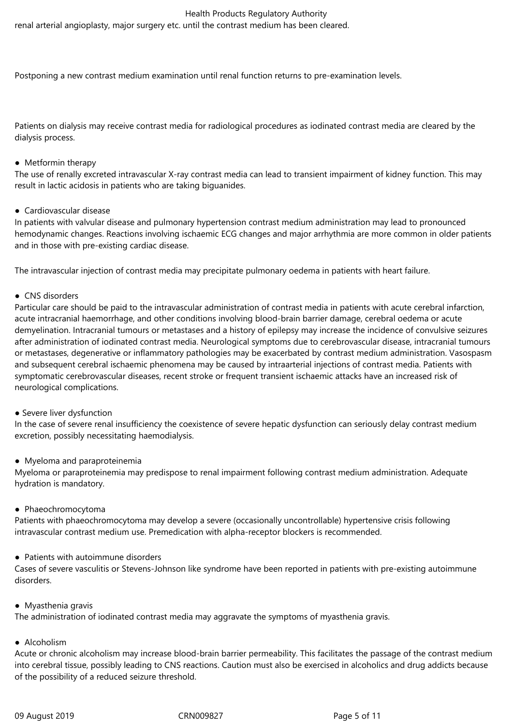renal arterial angioplasty, major surgery etc. until the contrast medium has been cleared.

Postponing a new contrast medium examination until renal function returns to pre-examination levels.

Patients on dialysis may receive contrast media for radiological procedures as iodinated contrast media are cleared by the dialysis process.

#### ● Metformin therapy

The use of renally excreted intravascular X-ray contrast media can lead to transient impairment of kidney function. This may result in lactic acidosis in patients who are taking biguanides.

## ● Cardiovascular disease

In patients with valvular disease and pulmonary hypertension contrast medium administration may lead to pronounced hemodynamic changes. Reactions involving ischaemic ECG changes and major arrhythmia are more common in older patients and in those with pre-existing cardiac disease.

The intravascular injection of contrast media may precipitate pulmonary oedema in patients with heart failure.

## • CNS disorders

Particular care should be paid to the intravascular administration of contrast media in patients with acute cerebral infarction, acute intracranial haemorrhage, and other conditions involving blood-brain barrier damage, cerebral oedema or acute demyelination. Intracranial tumours or metastases and a history of epilepsy may increase the incidence of convulsive seizures after administration of iodinated contrast media. Neurological symptoms due to cerebrovascular disease, intracranial tumours or metastases, degenerative or inflammatory pathologies may be exacerbated by contrast medium administration. Vasospasm and subsequent cerebral ischaemic phenomena may be caused by intraarterial injections of contrast media. Patients with symptomatic cerebrovascular diseases, recent stroke or frequent transient ischaemic attacks have an increased risk of neurological complications.

#### • Severe liver dysfunction

In the case of severe renal insufficiency the coexistence of severe hepatic dysfunction can seriously delay contrast medium excretion, possibly necessitating haemodialysis.

#### ● Myeloma and paraproteinemia

Myeloma or paraproteinemia may predispose to renal impairment following contrast medium administration. Adequate hydration is mandatory.

#### ● Phaeochromocytoma

Patients with phaeochromocytoma may develop a severe (occasionally uncontrollable) hypertensive crisis following intravascular contrast medium use. Premedication with alpha-receptor blockers is recommended.

#### ● Patients with autoimmune disorders

Cases of severe vasculitis or Stevens-Johnson like syndrome have been reported in patients with pre-existing autoimmune disorders.

#### ● Myasthenia gravis

The administration of iodinated contrast media may aggravate the symptoms of myasthenia gravis.

#### ● Alcoholism

Acute or chronic alcoholism may increase blood-brain barrier permeability. This facilitates the passage of the contrast medium into cerebral tissue, possibly leading to CNS reactions. Caution must also be exercised in alcoholics and drug addicts because of the possibility of a reduced seizure threshold.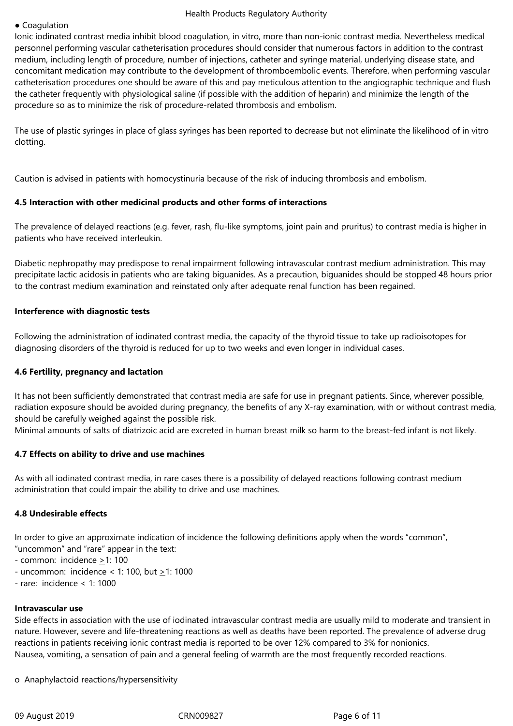#### ● Coagulation

Ionic iodinated contrast media inhibit blood coagulation, in vitro, more than non-ionic contrast media. Nevertheless medical personnel performing vascular catheterisation procedures should consider that numerous factors in addition to the contrast medium, including length of procedure, number of injections, catheter and syringe material, underlying disease state, and concomitant medication may contribute to the development of thromboembolic events. Therefore, when performing vascular catheterisation procedures one should be aware of this and pay meticulous attention to the angiographic technique and flush the catheter frequently with physiological saline (if possible with the addition of heparin) and minimize the length of the procedure so as to minimize the risk of procedure-related thrombosis and embolism.

The use of plastic syringes in place of glass syringes has been reported to decrease but not eliminate the likelihood of in vitro clotting.

Caution is advised in patients with homocystinuria because of the risk of inducing thrombosis and embolism.

#### **4.5 Interaction with other medicinal products and other forms of interactions**

The prevalence of delayed reactions (e.g. fever, rash, flu-like symptoms, joint pain and pruritus) to contrast media is higher in patients who have received interleukin.

Diabetic nephropathy may predispose to renal impairment following intravascular contrast medium administration. This may precipitate lactic acidosis in patients who are taking biguanides. As a precaution, biguanides should be stopped 48 hours prior to the contrast medium examination and reinstated only after adequate renal function has been regained.

#### **Interference with diagnostic tests**

Following the administration of iodinated contrast media, the capacity of the thyroid tissue to take up radioisotopes for diagnosing disorders of the thyroid is reduced for up to two weeks and even longer in individual cases.

#### **4.6 Fertility, pregnancy and lactation**

It has not been sufficiently demonstrated that contrast media are safe for use in pregnant patients. Since, wherever possible, radiation exposure should be avoided during pregnancy, the benefits of any X-ray examination, with or without contrast media, should be carefully weighed against the possible risk.

Minimal amounts of salts of diatrizoic acid are excreted in human breast milk so harm to the breast-fed infant is not likely.

#### **4.7 Effects on ability to drive and use machines**

As with all iodinated contrast media, in rare cases there is a possibility of delayed reactions following contrast medium administration that could impair the ability to drive and use machines.

#### **4.8 Undesirable effects**

In order to give an approximate indication of incidence the following definitions apply when the words "common", "uncommon" and "rare" appear in the text:

- common: incidence  $\geq$ 1: 100
- uncommon: incidence < 1: 100, but >1: 1000
- rare: incidence < 1: 1000

#### **Intravascular use**

Side effects in association with the use of iodinated intravascular contrast media are usually mild to moderate and transient in nature. However, severe and life-threatening reactions as well as deaths have been reported. The prevalence of adverse drug reactions in patients receiving ionic contrast media is reported to be over 12% compared to 3% for nonionics. Nausea, vomiting, a sensation of pain and a general feeling of warmth are the most frequently recorded reactions.

o Anaphylactoid reactions/hypersensitivity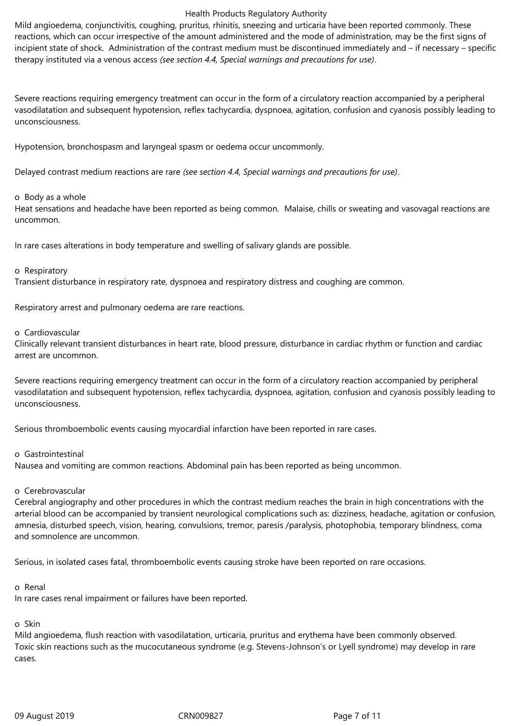Mild angioedema, conjunctivitis, coughing, pruritus, rhinitis, sneezing and urticaria have been reported commonly. These reactions, which can occur irrespective of the amount administered and the mode of administration, may be the first signs of incipient state of shock. Administration of the contrast medium must be discontinued immediately and – if necessary – specific therapy instituted via a venous access *(see section 4.4, Special warnings and precautions for use)*.

Severe reactions requiring emergency treatment can occur in the form of a circulatory reaction accompanied by a peripheral vasodilatation and subsequent hypotension, reflex tachycardia, dyspnoea, agitation, confusion and cyanosis possibly leading to unconsciousness.

Hypotension, bronchospasm and laryngeal spasm or oedema occur uncommonly.

Delayed contrast medium reactions are rare *(see section 4.4, Special warnings and precautions for use)*.

#### o Body as a whole

Heat sensations and headache have been reported as being common. Malaise, chills or sweating and vasovagal reactions are uncommon.

In rare cases alterations in body temperature and swelling of salivary glands are possible.

#### o Respiratory

Transient disturbance in respiratory rate, dyspnoea and respiratory distress and coughing are common.

Respiratory arrest and pulmonary oedema are rare reactions.

#### o Cardiovascular

Clinically relevant transient disturbances in heart rate, blood pressure, disturbance in cardiac rhythm or function and cardiac arrest are uncommon.

Severe reactions requiring emergency treatment can occur in the form of a circulatory reaction accompanied by peripheral vasodilatation and subsequent hypotension, reflex tachycardia, dyspnoea, agitation, confusion and cyanosis possibly leading to unconsciousness.

Serious thromboembolic events causing myocardial infarction have been reported in rare cases.

#### o Gastrointestinal

Nausea and vomiting are common reactions. Abdominal pain has been reported as being uncommon.

#### o Cerebrovascular

Cerebral angiography and other procedures in which the contrast medium reaches the brain in high concentrations with the arterial blood can be accompanied by transient neurological complications such as: dizziness, headache, agitation or confusion, amnesia, disturbed speech, vision, hearing, convulsions, tremor, paresis /paralysis, photophobia, temporary blindness, coma and somnolence are uncommon.

Serious, in isolated cases fatal, thromboembolic events causing stroke have been reported on rare occasions.

#### o Renal

In rare cases renal impairment or failures have been reported.

# o Skin

Mild angioedema, flush reaction with vasodilatation, urticaria, pruritus and erythema have been commonly observed. Toxic skin reactions such as the mucocutaneous syndrome (e.g. Stevens-Johnson's or Lyell syndrome) may develop in rare cases.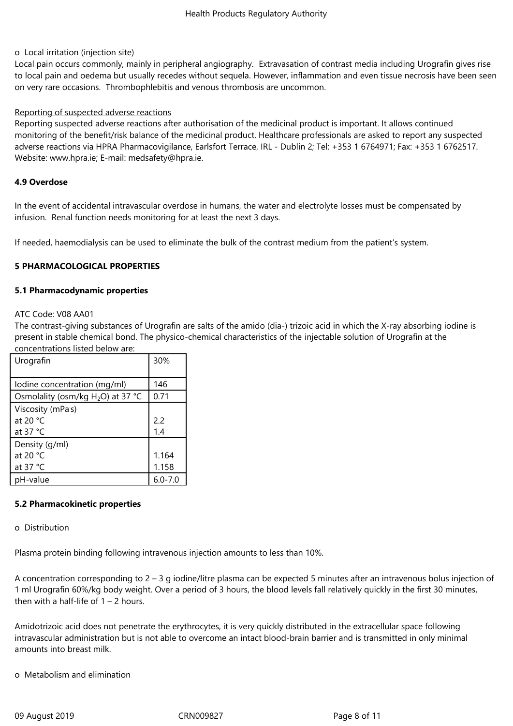#### o Local irritation (injection site)

Local pain occurs commonly, mainly in peripheral angiography. Extravasation of contrast media including Urografin gives rise to local pain and oedema but usually recedes without sequela. However, inflammation and even tissue necrosis have been seen on very rare occasions. Thrombophlebitis and venous thrombosis are uncommon.

#### Reporting of suspected adverse reactions

Reporting suspected adverse reactions after authorisation of the medicinal product is important. It allows continued monitoring of the benefit/risk balance of the medicinal product. Healthcare professionals are asked to report any suspected adverse reactions via HPRA Pharmacovigilance, Earlsfort Terrace, IRL - Dublin 2; Tel: +353 1 6764971; Fax: +353 1 6762517. Website: www.hpra.ie; E-mail: medsafety@hpra.ie.

#### **4.9 Overdose**

In the event of accidental intravascular overdose in humans, the water and electrolyte losses must be compensated by infusion. Renal function needs monitoring for at least the next 3 days.

If needed, haemodialysis can be used to eliminate the bulk of the contrast medium from the patient's system.

## **5 PHARMACOLOGICAL PROPERTIES**

#### **5.1 Pharmacodynamic properties**

#### ATC Code: V08 AA01

The contrast-giving substances of Urografin are salts of the amido (dia-) trizoic acid in which the X-ray absorbing iodine is present in stable chemical bond. The physico-chemical characteristics of the injectable solution of Urografin at the concentrations listed below are:

| .טווככוונומנוטווט ווטנכמ וטכוטא מוכ  |             |
|--------------------------------------|-------------|
| Urografin                            | 30%         |
|                                      |             |
| Iodine concentration (mg/ml)         | 146         |
| Osmolality (osm/kg $H_2O$ ) at 37 °C | 0.71        |
| Viscosity (mPas)                     |             |
| at 20 $°C$                           | 2.2         |
| at $37 °C$                           | 1.4         |
| Density (g/ml)                       |             |
| at 20 °C                             | 1.164       |
| at $37 °C$                           | 1.158       |
| pH-value                             | $6.0 - 7.0$ |

#### **5.2 Pharmacokinetic properties**

#### o Distribution

Plasma protein binding following intravenous injection amounts to less than 10%.

A concentration corresponding to 2 – 3 g iodine/litre plasma can be expected 5 minutes after an intravenous bolus injection of 1 ml Urografin 60%/kg body weight. Over a period of 3 hours, the blood levels fall relatively quickly in the first 30 minutes, then with a half-life of  $1 - 2$  hours.

Amidotrizoic acid does not penetrate the erythrocytes, it is very quickly distributed in the extracellular space following intravascular administration but is not able to overcome an intact blood-brain barrier and is transmitted in only minimal amounts into breast milk.

o Metabolism and elimination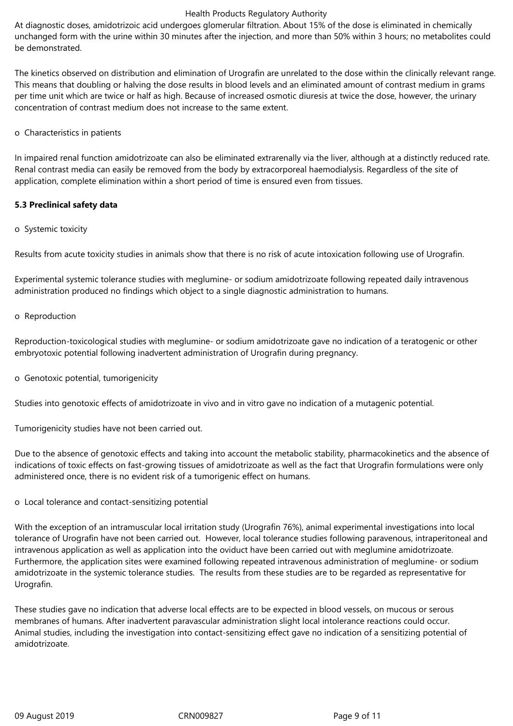At diagnostic doses, amidotrizoic acid undergoes glomerular filtration. About 15% of the dose is eliminated in chemically unchanged form with the urine within 30 minutes after the injection, and more than 50% within 3 hours; no metabolites could be demonstrated.

The kinetics observed on distribution and elimination of Urografin are unrelated to the dose within the clinically relevant range. This means that doubling or halving the dose results in blood levels and an eliminated amount of contrast medium in grams per time unit which are twice or half as high. Because of increased osmotic diuresis at twice the dose, however, the urinary concentration of contrast medium does not increase to the same extent.

o Characteristics in patients

In impaired renal function amidotrizoate can also be eliminated extrarenally via the liver, although at a distinctly reduced rate. Renal contrast media can easily be removed from the body by extracorporeal haemodialysis. Regardless of the site of application, complete elimination within a short period of time is ensured even from tissues.

# **5.3 Preclinical safety data**

o Systemic toxicity

Results from acute toxicity studies in animals show that there is no risk of acute intoxication following use of Urografin.

Experimental systemic tolerance studies with meglumine- or sodium amidotrizoate following repeated daily intravenous administration produced no findings which object to a single diagnostic administration to humans.

#### o Reproduction

Reproduction-toxicological studies with meglumine- or sodium amidotrizoate gave no indication of a teratogenic or other embryotoxic potential following inadvertent administration of Urografin during pregnancy.

o Genotoxic potential, tumorigenicity

Studies into genotoxic effects of amidotrizoate in vivo and in vitro gave no indication of a mutagenic potential.

Tumorigenicity studies have not been carried out.

Due to the absence of genotoxic effects and taking into account the metabolic stability, pharmacokinetics and the absence of indications of toxic effects on fast-growing tissues of amidotrizoate as well as the fact that Urografin formulations were only administered once, there is no evident risk of a tumorigenic effect on humans.

o Local tolerance and contact-sensitizing potential

With the exception of an intramuscular local irritation study (Urografin 76%), animal experimental investigations into local tolerance of Urografin have not been carried out. However, local tolerance studies following paravenous, intraperitoneal and intravenous application as well as application into the oviduct have been carried out with meglumine amidotrizoate. Furthermore, the application sites were examined following repeated intravenous administration of meglumine- or sodium amidotrizoate in the systemic tolerance studies. The results from these studies are to be regarded as representative for Urografin.

These studies gave no indication that adverse local effects are to be expected in blood vessels, on mucous or serous membranes of humans. After inadvertent paravascular administration slight local intolerance reactions could occur. Animal studies, including the investigation into contact-sensitizing effect gave no indication of a sensitizing potential of amidotrizoate.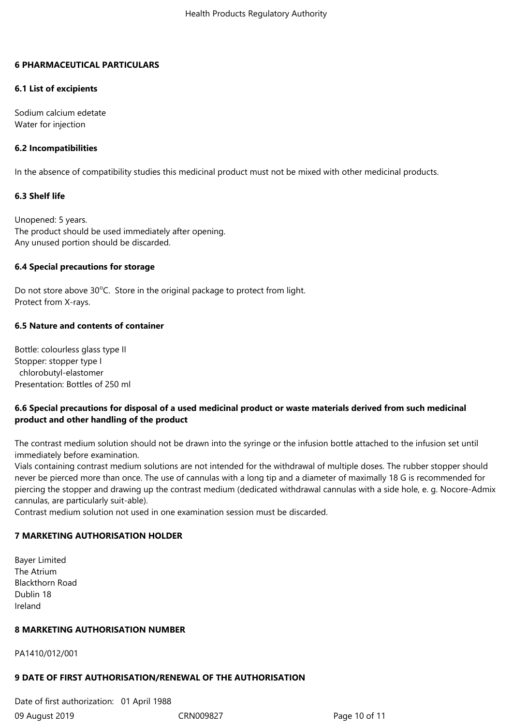## **6 PHARMACEUTICAL PARTICULARS**

## **6.1 List of excipients**

Sodium calcium edetate Water for injection

## **6.2 Incompatibilities**

In the absence of compatibility studies this medicinal product must not be mixed with other medicinal products.

## **6.3 Shelf life**

Unopened: 5 years. The product should be used immediately after opening. Any unused portion should be discarded.

## **6.4 Special precautions for storage**

Do not store above  $30^{\circ}$ C. Store in the original package to protect from light. Protect from X-rays.

## **6.5 Nature and contents of container**

Bottle: colourless glass type II Stopper: stopper type I chlorobutyl-elastomer Presentation: Bottles of 250 ml

# **6.6 Special precautions for disposal of a used medicinal product or waste materials derived from such medicinal product and other handling of the product**

The contrast medium solution should not be drawn into the syringe or the infusion bottle attached to the infusion set until immediately before examination.

Vials containing contrast medium solutions are not intended for the withdrawal of multiple doses. The rubber stopper should never be pierced more than once. The use of cannulas with a long tip and a diameter of maximally 18 G is recommended for piercing the stopper and drawing up the contrast medium (dedicated withdrawal cannulas with a side hole, e. g. Nocore-Admix cannulas, are particularly suit-able).

Contrast medium solution not used in one examination session must be discarded.

# **7 MARKETING AUTHORISATION HOLDER**

Bayer Limited The Atrium Blackthorn Road Dublin 18 Ireland

# **8 MARKETING AUTHORISATION NUMBER**

PA1410/012/001

# **9 DATE OF FIRST AUTHORISATION/RENEWAL OF THE AUTHORISATION**

09 August 2019 CRN009827 Page 10 of 11 Date of first authorization: 01 April 1988